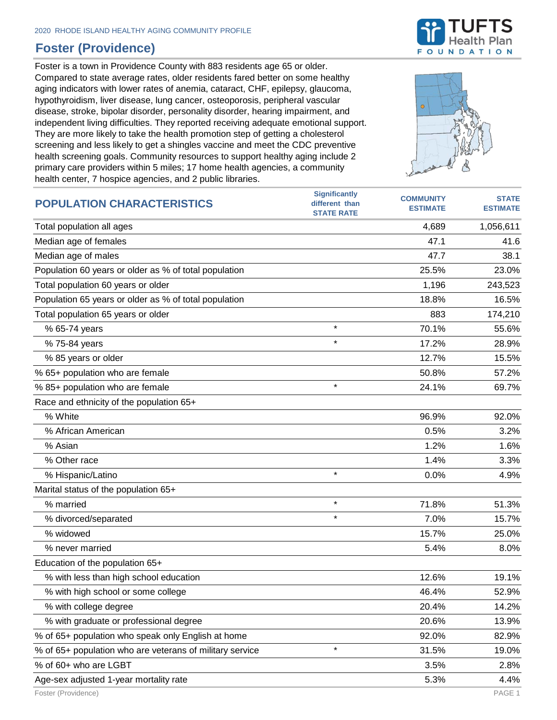## **Foster (Providence)**

Foster is a town in Providence County with 883 residents age 65 or older. Compared to state average rates, older residents fared better on some healthy aging indicators with lower rates of anemia, cataract, CHF, epilepsy, glaucoma, hypothyroidism, liver disease, lung cancer, osteoporosis, peripheral vascular disease, stroke, bipolar disorder, personality disorder, hearing impairment, and independent living difficulties. They reported receiving adequate emotional support. They are more likely to take the health promotion step of getting a cholesterol screening and less likely to get a shingles vaccine and meet the CDC preventive health screening goals. Community resources to support healthy aging include 2 primary care providers within 5 miles; 17 home health agencies, a community health center, 7 hospice agencies, and 2 public libraries.





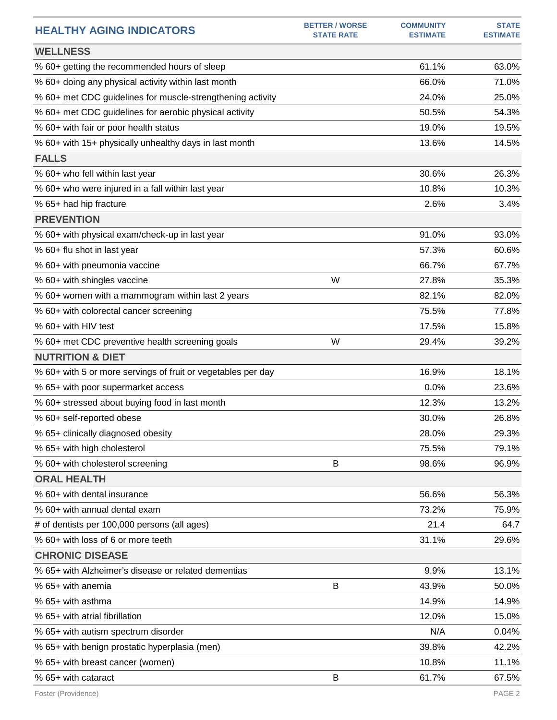| <b>HEALTHY AGING INDICATORS</b>                              | <b>BETTER / WORSE</b><br><b>STATE RATE</b> | <b>COMMUNITY</b><br><b>ESTIMATE</b> | <b>STATE</b><br><b>ESTIMATE</b> |
|--------------------------------------------------------------|--------------------------------------------|-------------------------------------|---------------------------------|
| <b>WELLNESS</b>                                              |                                            |                                     |                                 |
| % 60+ getting the recommended hours of sleep                 |                                            | 61.1%                               | 63.0%                           |
| % 60+ doing any physical activity within last month          |                                            | 66.0%                               | 71.0%                           |
| % 60+ met CDC guidelines for muscle-strengthening activity   |                                            | 24.0%                               | 25.0%                           |
| % 60+ met CDC guidelines for aerobic physical activity       |                                            | 50.5%                               | 54.3%                           |
| % 60+ with fair or poor health status                        |                                            | 19.0%                               | 19.5%                           |
| % 60+ with 15+ physically unhealthy days in last month       |                                            | 13.6%                               | 14.5%                           |
| <b>FALLS</b>                                                 |                                            |                                     |                                 |
| % 60+ who fell within last year                              |                                            | 30.6%                               | 26.3%                           |
| % 60+ who were injured in a fall within last year            |                                            | 10.8%                               | 10.3%                           |
| % 65+ had hip fracture                                       |                                            | 2.6%                                | 3.4%                            |
| <b>PREVENTION</b>                                            |                                            |                                     |                                 |
| % 60+ with physical exam/check-up in last year               |                                            | 91.0%                               | 93.0%                           |
| % 60+ flu shot in last year                                  |                                            | 57.3%                               | 60.6%                           |
| % 60+ with pneumonia vaccine                                 |                                            | 66.7%                               | 67.7%                           |
| % 60+ with shingles vaccine                                  | W                                          | 27.8%                               | 35.3%                           |
| % 60+ women with a mammogram within last 2 years             |                                            | 82.1%                               | 82.0%                           |
| % 60+ with colorectal cancer screening                       |                                            | 75.5%                               | 77.8%                           |
| % 60+ with HIV test                                          |                                            | 17.5%                               | 15.8%                           |
| % 60+ met CDC preventive health screening goals              | W                                          | 29.4%                               | 39.2%                           |
| <b>NUTRITION &amp; DIET</b>                                  |                                            |                                     |                                 |
| % 60+ with 5 or more servings of fruit or vegetables per day |                                            | 16.9%                               | 18.1%                           |
| % 65+ with poor supermarket access                           |                                            | 0.0%                                | 23.6%                           |
| % 60+ stressed about buying food in last month               |                                            | 12.3%                               | 13.2%                           |
| % 60+ self-reported obese                                    |                                            | 30.0%                               | 26.8%                           |
| % 65+ clinically diagnosed obesity                           |                                            | 28.0%                               | 29.3%                           |
| % 65+ with high cholesterol                                  |                                            | 75.5%                               | 79.1%                           |
| % 60+ with cholesterol screening                             | B                                          | 98.6%                               | 96.9%                           |
| <b>ORAL HEALTH</b>                                           |                                            |                                     |                                 |
| % 60+ with dental insurance                                  |                                            | 56.6%                               | 56.3%                           |
| % 60+ with annual dental exam                                |                                            | 73.2%                               | 75.9%                           |
| # of dentists per 100,000 persons (all ages)                 |                                            | 21.4                                | 64.7                            |
| % 60+ with loss of 6 or more teeth                           |                                            | 31.1%                               | 29.6%                           |
| <b>CHRONIC DISEASE</b>                                       |                                            |                                     |                                 |
| % 65+ with Alzheimer's disease or related dementias          |                                            | 9.9%                                | 13.1%                           |
| % 65+ with anemia                                            | B                                          | 43.9%                               | 50.0%                           |
| % 65+ with asthma                                            |                                            | 14.9%                               | 14.9%                           |
| % 65+ with atrial fibrillation                               |                                            | 12.0%                               | 15.0%                           |
| % 65+ with autism spectrum disorder                          |                                            | N/A                                 | 0.04%                           |
| % 65+ with benign prostatic hyperplasia (men)                |                                            | 39.8%                               | 42.2%                           |
| % 65+ with breast cancer (women)                             |                                            | 10.8%                               | 11.1%                           |
| % 65+ with cataract                                          | B                                          | 61.7%                               | 67.5%                           |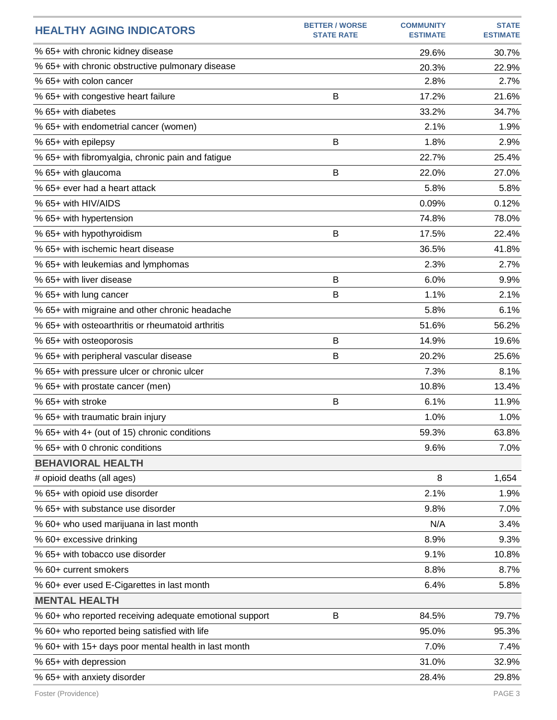| % 65+ with chronic kidney disease<br>29.6%<br>30.7%<br>% 65+ with chronic obstructive pulmonary disease<br>20.3%<br>22.9%<br>% 65+ with colon cancer<br>2.8%<br>2.7%<br>B<br>17.2%<br>% 65+ with congestive heart failure<br>21.6%<br>% 65+ with diabetes<br>33.2%<br>34.7%<br>2.1%<br>% 65+ with endometrial cancer (women)<br>1.9%<br>% 65+ with epilepsy<br>B<br>1.8%<br>2.9%<br>25.4%<br>% 65+ with fibromyalgia, chronic pain and fatigue<br>22.7% |
|---------------------------------------------------------------------------------------------------------------------------------------------------------------------------------------------------------------------------------------------------------------------------------------------------------------------------------------------------------------------------------------------------------------------------------------------------------|
|                                                                                                                                                                                                                                                                                                                                                                                                                                                         |
|                                                                                                                                                                                                                                                                                                                                                                                                                                                         |
|                                                                                                                                                                                                                                                                                                                                                                                                                                                         |
|                                                                                                                                                                                                                                                                                                                                                                                                                                                         |
|                                                                                                                                                                                                                                                                                                                                                                                                                                                         |
|                                                                                                                                                                                                                                                                                                                                                                                                                                                         |
|                                                                                                                                                                                                                                                                                                                                                                                                                                                         |
|                                                                                                                                                                                                                                                                                                                                                                                                                                                         |
| % 65+ with glaucoma<br>B<br>22.0%<br>27.0%                                                                                                                                                                                                                                                                                                                                                                                                              |
| % 65+ ever had a heart attack<br>5.8%<br>5.8%                                                                                                                                                                                                                                                                                                                                                                                                           |
| % 65+ with HIV/AIDS<br>0.09%<br>0.12%                                                                                                                                                                                                                                                                                                                                                                                                                   |
| 74.8%<br>78.0%<br>% 65+ with hypertension                                                                                                                                                                                                                                                                                                                                                                                                               |
| % 65+ with hypothyroidism<br>B<br>17.5%<br>22.4%                                                                                                                                                                                                                                                                                                                                                                                                        |
| % 65+ with ischemic heart disease<br>36.5%<br>41.8%                                                                                                                                                                                                                                                                                                                                                                                                     |
| 2.3%<br>% 65+ with leukemias and lymphomas<br>2.7%                                                                                                                                                                                                                                                                                                                                                                                                      |
| % 65+ with liver disease<br>B<br>6.0%<br>9.9%                                                                                                                                                                                                                                                                                                                                                                                                           |
| B<br>1.1%<br>2.1%<br>% 65+ with lung cancer                                                                                                                                                                                                                                                                                                                                                                                                             |
| 5.8%<br>% 65+ with migraine and other chronic headache<br>6.1%                                                                                                                                                                                                                                                                                                                                                                                          |
| % 65+ with osteoarthritis or rheumatoid arthritis<br>51.6%<br>56.2%                                                                                                                                                                                                                                                                                                                                                                                     |
| % 65+ with osteoporosis<br>B<br>14.9%<br>19.6%                                                                                                                                                                                                                                                                                                                                                                                                          |
| B<br>20.2%<br>% 65+ with peripheral vascular disease<br>25.6%                                                                                                                                                                                                                                                                                                                                                                                           |
| % 65+ with pressure ulcer or chronic ulcer<br>7.3%<br>8.1%                                                                                                                                                                                                                                                                                                                                                                                              |
| 10.8%<br>13.4%<br>% 65+ with prostate cancer (men)                                                                                                                                                                                                                                                                                                                                                                                                      |
| % 65+ with stroke<br>6.1%<br>11.9%<br>В                                                                                                                                                                                                                                                                                                                                                                                                                 |
| % 65+ with traumatic brain injury<br>1.0%<br>1.0%                                                                                                                                                                                                                                                                                                                                                                                                       |
| % 65+ with 4+ (out of 15) chronic conditions<br>59.3%<br>63.8%                                                                                                                                                                                                                                                                                                                                                                                          |
| % 65+ with 0 chronic conditions<br>9.6%<br>7.0%                                                                                                                                                                                                                                                                                                                                                                                                         |
| <b>BEHAVIORAL HEALTH</b>                                                                                                                                                                                                                                                                                                                                                                                                                                |
| 8<br># opioid deaths (all ages)<br>1,654                                                                                                                                                                                                                                                                                                                                                                                                                |
| 2.1%<br>% 65+ with opioid use disorder<br>1.9%                                                                                                                                                                                                                                                                                                                                                                                                          |
| % 65+ with substance use disorder<br>9.8%<br>7.0%                                                                                                                                                                                                                                                                                                                                                                                                       |
| % 60+ who used marijuana in last month<br>N/A<br>3.4%                                                                                                                                                                                                                                                                                                                                                                                                   |
| 8.9%<br>% 60+ excessive drinking<br>9.3%                                                                                                                                                                                                                                                                                                                                                                                                                |
| % 65+ with tobacco use disorder<br>9.1%<br>10.8%                                                                                                                                                                                                                                                                                                                                                                                                        |
| % 60+ current smokers<br>8.8%<br>8.7%                                                                                                                                                                                                                                                                                                                                                                                                                   |
| % 60+ ever used E-Cigarettes in last month<br>6.4%<br>5.8%                                                                                                                                                                                                                                                                                                                                                                                              |
| <b>MENTAL HEALTH</b>                                                                                                                                                                                                                                                                                                                                                                                                                                    |
| B<br>79.7%<br>% 60+ who reported receiving adequate emotional support<br>84.5%                                                                                                                                                                                                                                                                                                                                                                          |
| % 60+ who reported being satisfied with life<br>95.0%<br>95.3%                                                                                                                                                                                                                                                                                                                                                                                          |
| % 60+ with 15+ days poor mental health in last month<br>7.0%<br>7.4%                                                                                                                                                                                                                                                                                                                                                                                    |
| 31.0%<br>% 65+ with depression<br>32.9%                                                                                                                                                                                                                                                                                                                                                                                                                 |
| % 65+ with anxiety disorder<br>28.4%<br>29.8%                                                                                                                                                                                                                                                                                                                                                                                                           |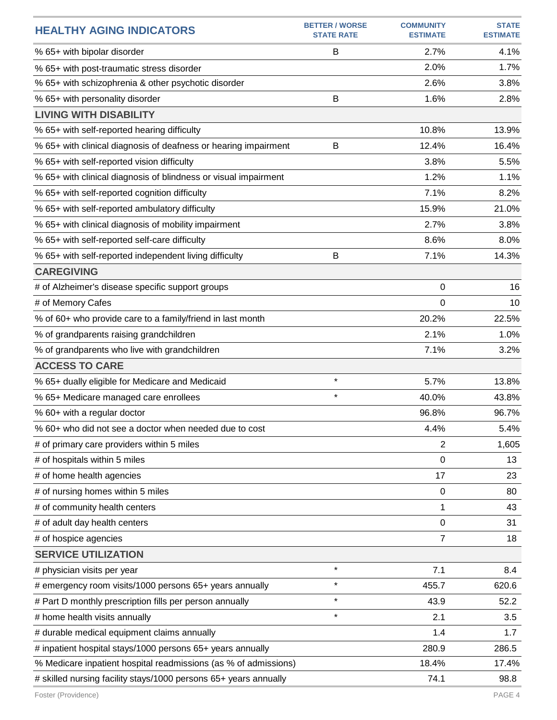| <b>HEALTHY AGING INDICATORS</b>                                  | <b>BETTER / WORSE</b><br><b>STATE RATE</b> | <b>COMMUNITY</b><br><b>ESTIMATE</b> | <b>STATE</b><br><b>ESTIMATE</b> |
|------------------------------------------------------------------|--------------------------------------------|-------------------------------------|---------------------------------|
| % 65+ with bipolar disorder                                      | B                                          | 2.7%                                | 4.1%                            |
| % 65+ with post-traumatic stress disorder                        |                                            | 2.0%                                | 1.7%                            |
| % 65+ with schizophrenia & other psychotic disorder              |                                            | 2.6%                                | 3.8%                            |
| % 65+ with personality disorder                                  | B                                          | 1.6%                                | 2.8%                            |
| <b>LIVING WITH DISABILITY</b>                                    |                                            |                                     |                                 |
| % 65+ with self-reported hearing difficulty                      |                                            | 10.8%                               | 13.9%                           |
| % 65+ with clinical diagnosis of deafness or hearing impairment  | B                                          | 12.4%                               | 16.4%                           |
| % 65+ with self-reported vision difficulty                       |                                            | 3.8%                                | 5.5%                            |
| % 65+ with clinical diagnosis of blindness or visual impairment  |                                            | 1.2%                                | 1.1%                            |
| % 65+ with self-reported cognition difficulty                    |                                            | 7.1%                                | 8.2%                            |
| % 65+ with self-reported ambulatory difficulty                   |                                            | 15.9%                               | 21.0%                           |
| % 65+ with clinical diagnosis of mobility impairment             |                                            | 2.7%                                | 3.8%                            |
| % 65+ with self-reported self-care difficulty                    |                                            | 8.6%                                | 8.0%                            |
| % 65+ with self-reported independent living difficulty           | B                                          | 7.1%                                | 14.3%                           |
| <b>CAREGIVING</b>                                                |                                            |                                     |                                 |
| # of Alzheimer's disease specific support groups                 |                                            | 0                                   | 16                              |
| # of Memory Cafes                                                |                                            | 0                                   | 10                              |
| % of 60+ who provide care to a family/friend in last month       |                                            | 20.2%                               | 22.5%                           |
| % of grandparents raising grandchildren                          |                                            | 2.1%                                | 1.0%                            |
| % of grandparents who live with grandchildren                    |                                            | 7.1%                                | 3.2%                            |
| <b>ACCESS TO CARE</b>                                            |                                            |                                     |                                 |
| % 65+ dually eligible for Medicare and Medicaid                  | $\star$                                    | 5.7%                                | 13.8%                           |
| % 65+ Medicare managed care enrollees                            | $\star$                                    | 40.0%                               | 43.8%                           |
| % 60+ with a regular doctor                                      |                                            | 96.8%                               | 96.7%                           |
| % 60+ who did not see a doctor when needed due to cost           |                                            | 4.4%                                | 5.4%                            |
| # of primary care providers within 5 miles                       |                                            | $\overline{2}$                      | 1,605                           |
| # of hospitals within 5 miles                                    |                                            | 0                                   | 13                              |
| # of home health agencies                                        |                                            | 17                                  | 23                              |
| # of nursing homes within 5 miles                                |                                            | 0                                   | 80                              |
| # of community health centers                                    |                                            | 1                                   | 43                              |
| # of adult day health centers                                    |                                            | 0                                   | 31                              |
| # of hospice agencies                                            |                                            | 7                                   | 18                              |
| <b>SERVICE UTILIZATION</b>                                       |                                            |                                     |                                 |
| # physician visits per year                                      | $\star$                                    | 7.1                                 | 8.4                             |
| # emergency room visits/1000 persons 65+ years annually          | $\star$                                    | 455.7                               | 620.6                           |
| # Part D monthly prescription fills per person annually          | $\star$                                    | 43.9                                | 52.2                            |
| # home health visits annually                                    | $\star$                                    | 2.1                                 | 3.5                             |
| # durable medical equipment claims annually                      |                                            | 1.4                                 | 1.7                             |
| # inpatient hospital stays/1000 persons 65+ years annually       |                                            | 280.9                               | 286.5                           |
| % Medicare inpatient hospital readmissions (as % of admissions)  |                                            | 18.4%                               | 17.4%                           |
| # skilled nursing facility stays/1000 persons 65+ years annually |                                            | 74.1                                | 98.8                            |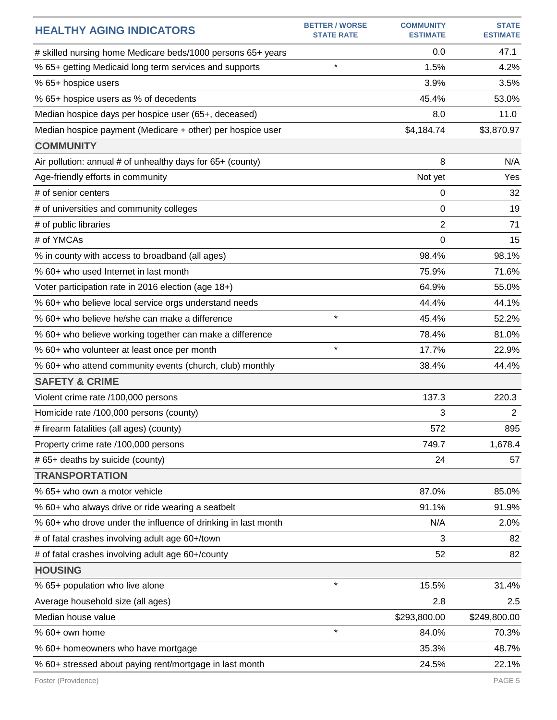| <b>HEALTHY AGING INDICATORS</b>                               | <b>BETTER / WORSE</b><br><b>STATE RATE</b> | <b>COMMUNITY</b><br><b>ESTIMATE</b> | <b>STATE</b><br><b>ESTIMATE</b> |
|---------------------------------------------------------------|--------------------------------------------|-------------------------------------|---------------------------------|
| # skilled nursing home Medicare beds/1000 persons 65+ years   |                                            | 0.0                                 | 47.1                            |
| % 65+ getting Medicaid long term services and supports        | $\star$                                    | 1.5%                                | 4.2%                            |
| % 65+ hospice users                                           |                                            | 3.9%                                | 3.5%                            |
| % 65+ hospice users as % of decedents                         |                                            | 45.4%                               | 53.0%                           |
| Median hospice days per hospice user (65+, deceased)          |                                            | 8.0                                 | 11.0                            |
| Median hospice payment (Medicare + other) per hospice user    |                                            | \$4,184.74                          | \$3,870.97                      |
| <b>COMMUNITY</b>                                              |                                            |                                     |                                 |
| Air pollution: annual # of unhealthy days for 65+ (county)    |                                            | 8                                   | N/A                             |
| Age-friendly efforts in community                             |                                            | Not yet                             | Yes                             |
| # of senior centers                                           |                                            | 0                                   | 32                              |
| # of universities and community colleges                      |                                            | 0                                   | 19                              |
| # of public libraries                                         |                                            | 2                                   | 71                              |
| # of YMCAs                                                    |                                            | 0                                   | 15                              |
| % in county with access to broadband (all ages)               |                                            | 98.4%                               | 98.1%                           |
| % 60+ who used Internet in last month                         |                                            | 75.9%                               | 71.6%                           |
| Voter participation rate in 2016 election (age 18+)           |                                            | 64.9%                               | 55.0%                           |
| % 60+ who believe local service orgs understand needs         |                                            | 44.4%                               | 44.1%                           |
| % 60+ who believe he/she can make a difference                | $\star$                                    | 45.4%                               | 52.2%                           |
| % 60+ who believe working together can make a difference      |                                            | 78.4%                               | 81.0%                           |
| % 60+ who volunteer at least once per month                   | $\star$                                    | 17.7%                               | 22.9%                           |
| % 60+ who attend community events (church, club) monthly      |                                            | 38.4%                               | 44.4%                           |
| <b>SAFETY &amp; CRIME</b>                                     |                                            |                                     |                                 |
| Violent crime rate /100,000 persons                           |                                            | 137.3                               | 220.3                           |
| Homicide rate /100,000 persons (county)                       |                                            | 3                                   | 2                               |
| # firearm fatalities (all ages) (county)                      |                                            | 572                                 | 895                             |
| Property crime rate /100,000 persons                          |                                            | 749.7                               | 1,678.4                         |
| # 65+ deaths by suicide (county)                              |                                            | 24                                  | 57                              |
| <b>TRANSPORTATION</b>                                         |                                            |                                     |                                 |
| % 65+ who own a motor vehicle                                 |                                            | 87.0%                               | 85.0%                           |
| % 60+ who always drive or ride wearing a seatbelt             |                                            | 91.1%                               | 91.9%                           |
| % 60+ who drove under the influence of drinking in last month |                                            | N/A                                 | 2.0%                            |
| # of fatal crashes involving adult age 60+/town               |                                            | 3                                   | 82                              |
| # of fatal crashes involving adult age 60+/county             |                                            | 52                                  | 82                              |
| <b>HOUSING</b>                                                |                                            |                                     |                                 |
| % 65+ population who live alone                               | $\star$                                    | 15.5%                               | 31.4%                           |
| Average household size (all ages)                             |                                            | 2.8                                 | 2.5                             |
| Median house value                                            |                                            | \$293,800.00                        | \$249,800.00                    |
| % 60+ own home                                                | $\star$                                    | 84.0%                               | 70.3%                           |
| % 60+ homeowners who have mortgage                            |                                            | 35.3%                               | 48.7%                           |
| % 60+ stressed about paying rent/mortgage in last month       |                                            | 24.5%                               | 22.1%                           |
| Foster (Providence)                                           |                                            |                                     | PAGE 5                          |